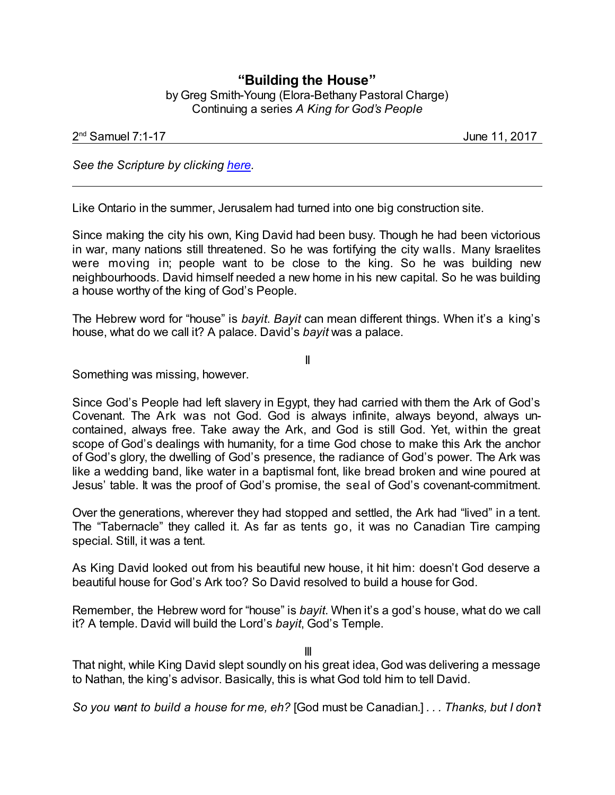## **"Building the House"** by Greg Smith-Young (Elora-Bethany Pastoral Charge) Continuing a series *A King for God's People*

## 2 nd Samuel 7:1-17 June 11, 2017

*See the Scripture by clicking [here](https://www.biblegateway.com/passage/?search=2+Samuel+7%3A1-17&version=NRSVA).*

Like Ontario in the summer, Jerusalem had turned into one big construction site.

Since making the city his own, King David had been busy. Though he had been victorious in war, many nations still threatened. So he was fortifying the city walls. Many Israelites were moving in; people want to be close to the king. So he was building new neighbourhoods. David himself needed a new home in his new capital. So he was building a house worthy of the king of God's People.

The Hebrew word for "house" is *bayit*. *Bayit* can mean different things. When it's a king's house, what do we call it? A palace. David's *bayit* was a palace.

II

Something was missing, however.

Since God's People had left slavery in Egypt, they had carried with them the Ark of God's Covenant. The Ark was not God. God is always infinite, always beyond, always uncontained, always free. Take away the Ark, and God is still God. Yet, within the great scope of God's dealings with humanity, for a time God chose to make this Ark the anchor of God's glory, the dwelling of God's presence, the radiance of God's power. The Ark was like a wedding band, like water in a baptismal font, like bread broken and wine poured at Jesus' table. It was the proof of God's promise, the seal of God's covenant-commitment.

Over the generations, wherever they had stopped and settled, the Ark had "lived" in a tent. The "Tabernacle" they called it. As far as tents go, it was no Canadian Tire camping special. Still, it was a tent.

As King David looked out from his beautiful new house, it hit him: doesn't God deserve a beautiful house for God's Ark too? So David resolved to build a house for God.

Remember, the Hebrew word for "house" is *bayit*. When it's a god's house, what do we call it? A temple. David will build the Lord's *bayit*, God's Temple.

III

That night, while King David slept soundly on his great idea, God was delivering a message to Nathan, the king's advisor. Basically, this is what God told him to tell David.

*So you want to build a house for me, eh?* [God must be Canadian.] *. . . Thanks, but I don't*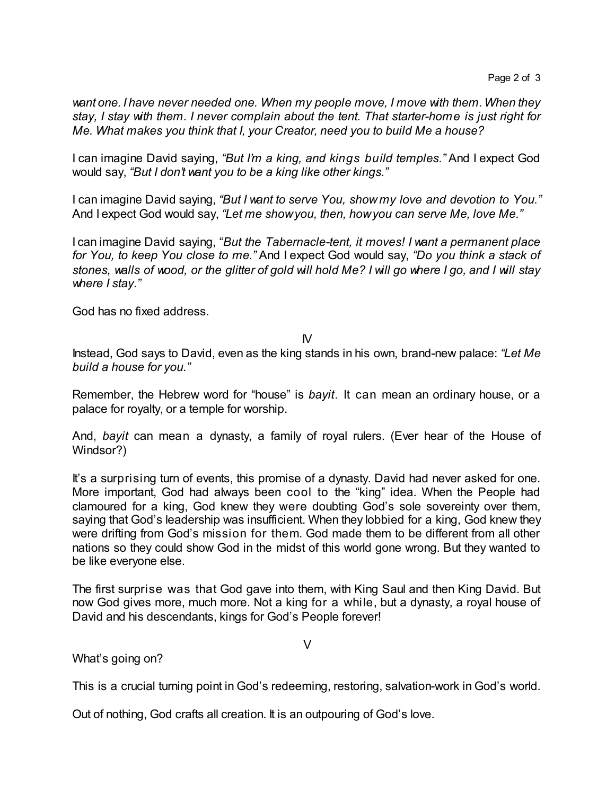*want one. I have never needed one. When my people move, I move with them.When they stay, I stay with them. I never complain about the tent. That starter-home is just right for Me. What makes you think that I, your Creator, need you to build Me a house?* 

I can imagine David saying, *"But I'm a king, and kings build temples."* And I expect God would say, *"But I don't want you to be a king like other kings."*

I can imagine David saying, *"But I want to serve You, show my love and devotion to You."* And I expect God would say, *"Let me showyou, then, howyou can serve Me, love Me."*

I can imagine David saying, "*But the Tabernacle-tent, it moves! I want a permanent place for You, to keep You close to me."* And I expect God would say, *"Do you think a stack of stones, walls of wood, or the glitter of gold will hold Me? I will go where I go, and I will stay where I stay."*

God has no fixed address.

 $N$ 

Instead, God says to David, even as the king stands in his own, brand-new palace: *"Let Me build a house for you."*

Remember, the Hebrew word for "house" is *bayit*. It can mean an ordinary house, or a palace for royalty, or a temple for worship.

And, *bayit* can mean a dynasty, a family of royal rulers. (Ever hear of the House of Windsor?)

It's a surprising turn of events, this promise of a dynasty. David had never asked for one. More important, God had always been cool to the "king" idea. When the People had clamoured for a king, God knew they were doubting God's sole sovereinty over them, saying that God's leadership was insufficient. When they lobbied for a king, God knew they were drifting from God's mission for them. God made them to be different from all other nations so they could show God in the midst of this world gone wrong. But they wanted to be like everyone else.

The first surprise was that God gave into them, with King Saul and then King David. But now God gives more, much more. Not a king for a while, but a dynasty, a royal house of David and his descendants, kings for God's People forever!

V

What's going on?

This is a crucial turning point in God's redeeming, restoring, salvation-work in God's world.

Out of nothing, God crafts all creation. It is an outpouring of God's love.